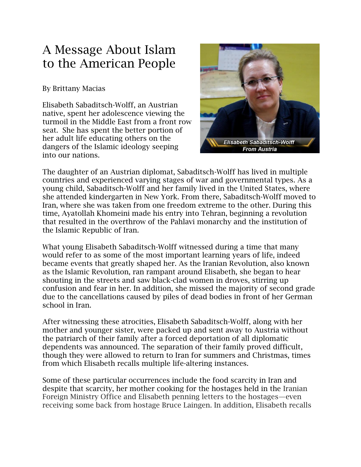## A Message About Islam to the American People

## By Brittany Macias

Elisabeth Sabaditsch-Wolff, an Austrian native, spent her adolescence viewing the turmoil in the Middle East from a front row seat. She has spent the better portion of her adult life educating others on the dangers of the Islamic ideology seeping into our nations.



The daughter of an Austrian diplomat, Sabaditsch-Wolff has lived in multiple countries and experienced varying stages of war and governmental types. As a young child, Sabaditsch-Wolff and her family lived in the United States, where she attended kindergarten in New York. From there, Sabaditsch-Wolff moved to Iran, where she was taken from one freedom extreme to the other. During this time, Ayatollah Khomeini made his entry into Tehran, beginning a revolution that resulted in the overthrow of the Pahlavi monarchy and the institution of the Islamic Republic of Iran.

What young Elisabeth Sabaditsch-Wolff witnessed during a time that many would refer to as some of the most important learning years of life, indeed became events that greatly shaped her. As the Iranian Revolution, also known as the Islamic Revolution, ran rampant around Elisabeth, she began to hear shouting in the streets and saw black-clad women in droves, stirring up confusion and fear in her. In addition, she missed the majority of second grade due to the cancellations caused by piles of dead bodies in front of her German school in Iran.

After witnessing these atrocities, Elisabeth Sabaditsch-Wolff, along with her mother and younger sister, were packed up and sent away to Austria without the patriarch of their family after a forced deportation of all diplomatic dependents was announced. The separation of their family proved difficult, though they were allowed to return to Iran for summers and Christmas, times from which Elisabeth recalls multiple life-altering instances.

Some of these particular occurrences include the food scarcity in Iran and despite that scarcity, her mother cooking for the hostages held in the Iranian Foreign Ministry Office and Elisabeth penning letters to the hostages—even receiving some back from hostage Bruce Laingen. In addition, Elisabeth recalls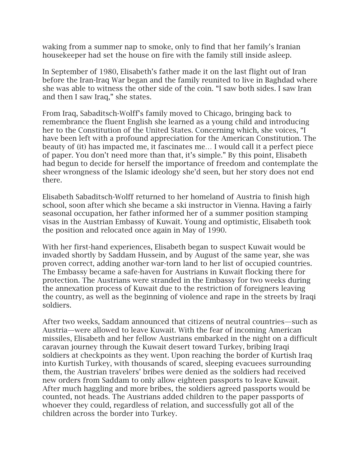waking from a summer nap to smoke, only to find that her family's Iranian housekeeper had set the house on fire with the family still inside asleep.

In September of 1980, Elisabeth's father made it on the last flight out of Iran before the Iran-Iraq War began and the family reunited to live in Baghdad where she was able to witness the other side of the coin. "I saw both sides. I saw Iran and then I saw Iraq," she states.

From Iraq, Sabaditsch-Wolff's family moved to Chicago, bringing back to remembrance the fluent English she learned as a young child and introducing her to the Constitution of the United States. Concerning which, she voices, "I have been left with a profound appreciation for the American Constitution. The beauty of (it) has impacted me, it fascinates me… I would call it a perfect piece of paper. You don't need more than that, it's simple." By this point, Elisabeth had begun to decide for herself the importance of freedom and contemplate the sheer wrongness of the Islamic ideology she'd seen, but her story does not end there.

Elisabeth Sabaditsch-Wolff returned to her homeland of Austria to finish high school, soon after which she became a ski instructor in Vienna. Having a fairly seasonal occupation, her father informed her of a summer position stamping visas in the Austrian Embassy of Kuwait. Young and optimistic, Elisabeth took the position and relocated once again in May of 1990.

With her first-hand experiences, Elisabeth began to suspect Kuwait would be invaded shortly by Saddam Hussein, and by August of the same year, she was proven correct, adding another war-torn land to her list of occupied countries. The Embassy became a safe-haven for Austrians in Kuwait flocking there for protection. The Austrians were stranded in the Embassy for two weeks during the annexation process of Kuwait due to the restriction of foreigners leaving the country, as well as the beginning of violence and rape in the streets by Iraqi soldiers.

After two weeks, Saddam announced that citizens of neutral countries—such as Austria—were allowed to leave Kuwait. With the fear of incoming American missiles, Elisabeth and her fellow Austrians embarked in the night on a difficult caravan journey through the Kuwait desert toward Turkey, bribing Iraqi soldiers at checkpoints as they went. Upon reaching the border of Kurtish Iraq into Kurtish Turkey, with thousands of scared, sleeping evacuees surrounding them, the Austrian travelers' bribes were denied as the soldiers had received new orders from Saddam to only allow eighteen passports to leave Kuwait. After much haggling and more bribes, the soldiers agreed passports would be counted, not heads. The Austrians added children to the paper passports of whoever they could, regardless of relation, and successfully got all of the children across the border into Turkey.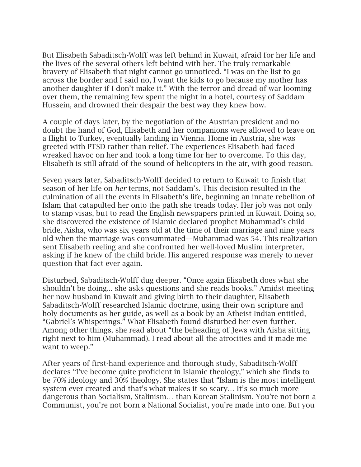But Elisabeth Sabaditsch-Wolff was left behind in Kuwait, afraid for her life and the lives of the several others left behind with her. The truly remarkable bravery of Elisabeth that night cannot go unnoticed. "I was on the list to go across the border and I said no, I want the kids to go because my mother has another daughter if I don't make it." With the terror and dread of war looming over them, the remaining few spent the night in a hotel, courtesy of Saddam Hussein, and drowned their despair the best way they knew how.

A couple of days later, by the negotiation of the Austrian president and no doubt the hand of God, Elisabeth and her companions were allowed to leave on a flight to Turkey, eventually landing in Vienna. Home in Austria, she was greeted with PTSD rather than relief. The experiences Elisabeth had faced wreaked havoc on her and took a long time for her to overcome. To this day, Elisabeth is still afraid of the sound of helicopters in the air, with good reason.

Seven years later, Sabaditsch-Wolff decided to return to Kuwait to finish that season of her life on *her* terms, not Saddam's. This decision resulted in the culmination of all the events in Elisabeth's life, beginning an innate rebellion of Islam that catapulted her onto the path she treads today. Her job was not only to stamp visas, but to read the English newspapers printed in Kuwait. Doing so, she discovered the existence of Islamic-declared prophet Muhammad's child bride, Aisha, who was six years old at the time of their marriage and nine years old when the marriage was consummated—Muhammad was 54. This realization sent Elisabeth reeling and she confronted her well-loved Muslim interpreter, asking if he knew of the child bride. His angered response was merely to never question that fact ever again.

Disturbed, Sabaditsch-Wolff dug deeper. "Once again Elisabeth does what she shouldn't be doing... she asks questions and she reads books." Amidst meeting her now-husband in Kuwait and giving birth to their daughter, Elisabeth Sabaditsch-Wolff researched Islamic doctrine, using their own scripture and holy documents as her guide, as well as a book by an Atheist Indian entitled, "Gabriel's Whisperings." What Elisabeth found disturbed her even further. Among other things, she read about "the beheading of Jews with Aisha sitting right next to him (Muhammad). I read about all the atrocities and it made me want to weep."

After years of first-hand experience and thorough study, Sabaditsch-Wolff declares "I've become quite proficient in Islamic theology," which she finds to be 70% ideology and 30% theology. She states that "Islam is the most intelligent system ever created and that's what makes it so scary… It's so much more dangerous than Socialism, Stalinism… than Korean Stalinism. You're not born a Communist, you're not born a National Socialist, you're made into one. But you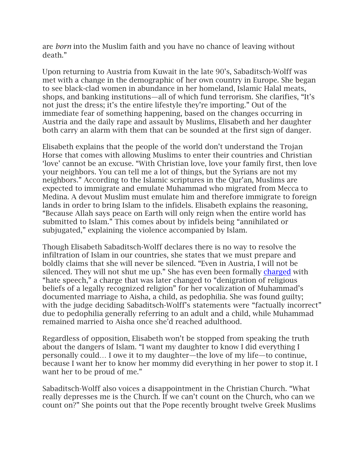are *born* into the Muslim faith and you have no chance of leaving without death."

Upon returning to Austria from Kuwait in the late 90's, Sabaditsch-Wolff was met with a change in the demographic of her own country in Europe. She began to see black-clad women in abundance in her homeland, Islamic Halal meats, shops, and banking institutions—all of which fund terrorism. She clarifies, "It's not just the dress; it's the entire lifestyle they're importing." Out of the immediate fear of something happening, based on the changes occurring in Austria and the daily rape and assault by Muslims, Elisabeth and her daughter both carry an alarm with them that can be sounded at the first sign of danger.

Elisabeth explains that the people of the world don't understand the Trojan Horse that comes with allowing Muslims to enter their countries and Christian 'love' cannot be an excuse. "With Christian love, love your family first, then love your neighbors. You can tell me a lot of things, but the Syrians are not my neighbors." According to the Islamic scriptures in the Qur'an, Muslims are expected to immigrate and emulate Muhammad who migrated from Mecca to Medina. A devout Muslim must emulate him and therefore immigrate to foreign lands in order to bring Islam to the infidels. Elisabeth explains the reasoning, "Because Allah says peace on Earth will only reign when the entire world has submitted to Islam." This comes about by infidels being "annihilated or subjugated," explaining the violence accompanied by Islam.

Though Elisabeth Sabaditsch-Wolff declares there is no way to resolve the infiltration of Islam in our countries, she states that we must prepare and boldly claims that she will never be silenced. "Even in Austria, I will not be silenced. They will not shut me up." She has even been formally [charged](http://english.savefreespeech.org/) with "hate speech," a charge that was later changed to "denigration of religious beliefs of a legally recognized religion" for her vocalization of Muhammad's documented marriage to Aisha, a child, as pedophilia. She was found guilty; with the judge deciding Sabaditsch-Wolff's statements were "factually incorrect" due to pedophilia generally referring to an adult and a child, while Muhammad remained married to Aisha once she'd reached adulthood.

Regardless of opposition, Elisabeth won't be stopped from speaking the truth about the dangers of Islam. "I want my daughter to know I did everything I personally could… I owe it to my daughter—the love of my life—to continue, because I want her to know her mommy did everything in her power to stop it. I want her to be proud of me."

Sabaditsch-Wolff also voices a disappointment in the Christian Church. "What really depresses me is the Church. If we can't count on the Church, who can we count on?" She points out that the Pope recently brought twelve Greek Muslims